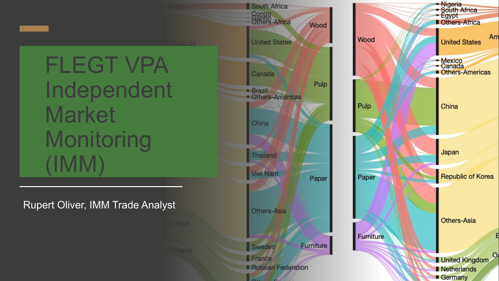FLEGT VPA Independent **Market Monitoring** (IMM)

Rupert Oliver, IMM Trade Analyst

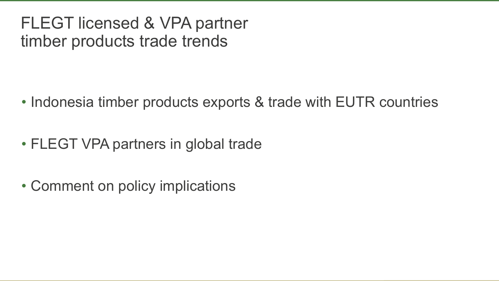### FLEGT licensed & VPA partner timber products trade trends

- Indonesia timber products exports & trade with EUTR countries
- FLEGT VPA partners in global trade
- Comment on policy implications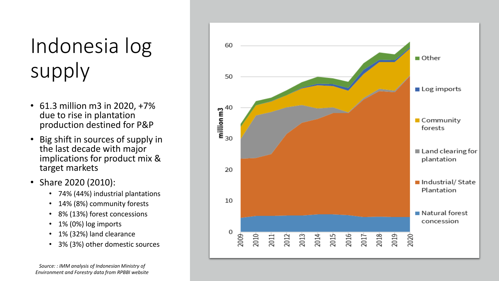# Indonesia log supply

- 61.3 million m3 in 2020, +7% due to rise in plantation production destined for P&P
- Big shift in sources of supply in the last decade with major implications for product mix & target markets
- Share 2020 (2010):
	- 74% (44%) industrial plantations
	- 14% (8%) community forests
	- 8% (13%) forest concessions
	- 1% (0%) log imports
	- 1% (32%) land clearance
	- 3% (3%) other domestic sources



*Source: : IMM analysis of Indonesian Ministry of Environment and Forestry data from RPBBI website*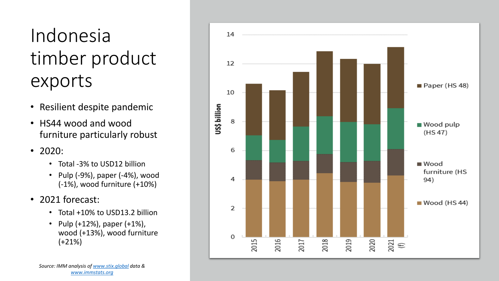## Indonesia timber product exports

- Resilient despite pandemic
- HS44 wood and wood furniture particularly robust
- 2020:
	- Total -3% to USD12 billion
	- Pulp (-9%), paper (-4%), wood (-1%), wood furniture (+10%)
- 2021 forecast:
	- Total +10% to USD13.2 billion
	- Pulp (+12%), paper (+1%), wood (+13%), wood furniture (+21%)

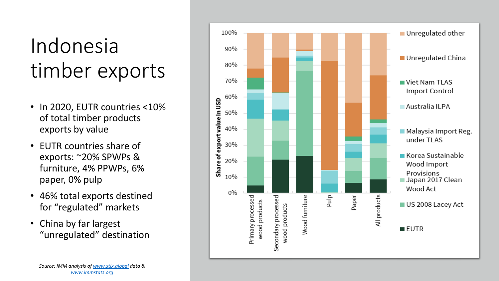# Indonesia timber exports

- In 2020, EUTR countries <10% of total timber products exports by value
- EUTR countries share of exports: ~20% SPWPs & furniture, 4% PPWPs, 6% paper, 0% pulp
- 46% total exports destined for "regulated" markets
- China by far largest "unregulated" destination

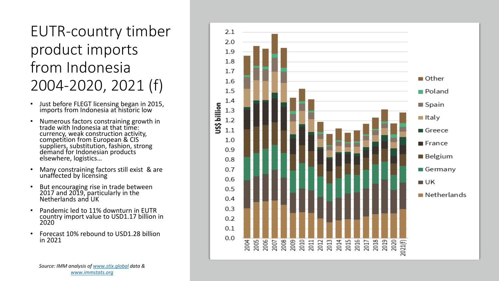#### EUTR-country timber product imports from Indonesia 2004-2020, 2021 (f)

- Just before FLEGT licensing began in 2015, imports from Indonesia at historic low
- Numerous factors constraining growth in trade with Indonesia at that time: currency, weak construction activity, competition from European & CIS suppliers, substitution, fashion, strong demand for Indonesian products elsewhere, logistics…
- Many constraining factors still exist & are unaffected by licensing
- But encouraging rise in trade between 2017 and 2019, particularly in the Netherlands and UK
- Pandemic led to 11% downturn in EUTR country import value to USD1.17 billion in 2020
- Forecast 10% rebound to USD1.28 billion in 2021

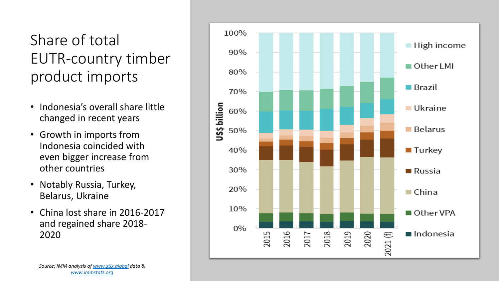### Share of total EUTR-country timber product imports

- Indonesia's overall share little changed in recent years
- Growth in imports from Indonesia coincided with even bigger increase from other countries
- Notably Russia, Turkey, Belarus, Ukraine
- China lost share in 2016-2017 and regained share 2018- 2020

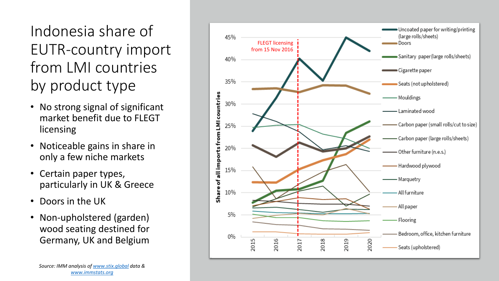Indonesia share of EUTR-country import from LMI countries by product type

- No strong signal of significant market benefit due to FLEGT licensing
- Noticeable gains in share in only a few niche markets
- Certain paper types, particularly in UK & Greece
- Doors in the UK
- Non-upholstered (garden) wood seating destined for Germany, UK and Belgium

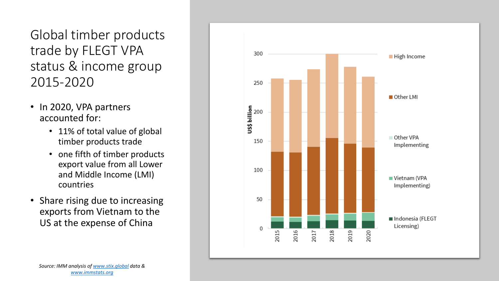Global timber products trade by FLEGT VPA status & income group 2015-2020

- In 2020, VPA partners accounted for:
	- 11% of total value of global timber products trade
	- one fifth of timber products export value from all Lower and Middle Income (LMI) countries
- Share rising due to increasing exports from Vietnam to the US at the expense of China

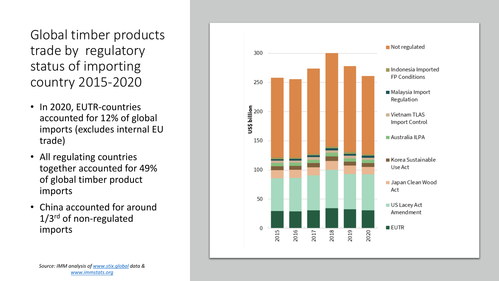Global timber products trade by regulatory status of importing country 2015-2020

- In 2020, EUTR-countries accounted for 12% of global imports (excludes internal EU trade)
- All regulating countries together accounted for 49% of global timber product imports
- China accounted for around 1/3<sup>rd</sup> of non-regulated imports

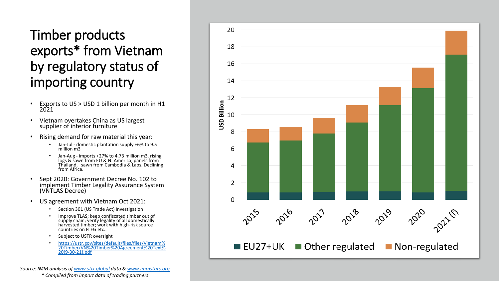#### Timber products exports\* from Vietnam by regulatory status of importing country

- Exports to US > USD 1 billion per month in H1 2021
- Vietnam overtakes China as US largest supplier of interior furniture
- Rising demand for raw material this year:
	- Jan-Jul domestic plantation supply +6% to 9.5 million m3
	- Jan-Aug imports +27% to 4.73 million m3, rising logs & sawn from EU & N. America, panels from Thailand, sawn from Cambodia & Laos. Declining from Africa.
- Sept 2020: Government Decree No. 102 to implement Timber Legality Assurance System (VNTLAS Decree)
- US agreement with Vietnam Oct 2021:
	- Section 301 (US Trade Act) Investigation
	- Improve TLAS; keep confiscated timber out of supply chain; verify legality of all domestically harvested timber; work with high-risk source countries on FLEG etc..
	- Subject to USTR oversight
	- [https://ustr.gov/sites/default/files/files/Vietnam%](https://ustr.gov/sites/default/files/files/Vietnam%20Timber/VN%20Timber%20Agreement%20Text%20(9-30-21).pdf) [20Timber/VN%20Timber%20Agreement%20Text%](https://ustr.gov/sites/default/files/files/Vietnam%20Timber/VN%20Timber%20Agreement%20Text%20(9-30-21).pdf) [20\(9-30-21\).pdf](https://ustr.gov/sites/default/files/files/Vietnam%20Timber/VN%20Timber%20Agreement%20Text%20(9-30-21).pdf)

*Source: IMM analysis of [www.stix.global](http://www.stix.global/) data & [www.immstats.org](http://www.immstats.org/) \* Compiled from import data of trading partners*

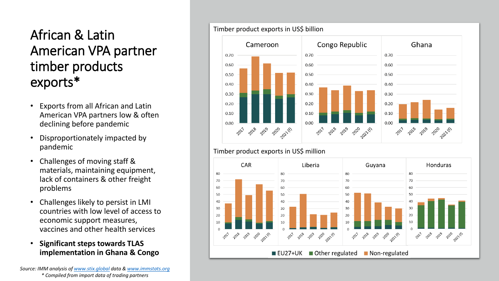#### African & Latin American VPA partner timber products exports\*

- Exports from all African and Latin American VPA partners low & often declining before pandemic
- Disproportionately impacted by pandemic
- Challenges of moving staff & materials, maintaining equipment, lack of containers & other freight problems
- Challenges likely to persist in LMI countries with low level of access to economic support measures, vaccines and other health services
- **Significant steps towards TLAS implementation in Ghana & Congo**

*Source: IMM analysis of [www.stix.global](http://www.stix.global/) data & [www.immstats.org](http://www.immstats.org/) \* Compiled from import data of trading partners*





#### Timber product exports in US\$ million

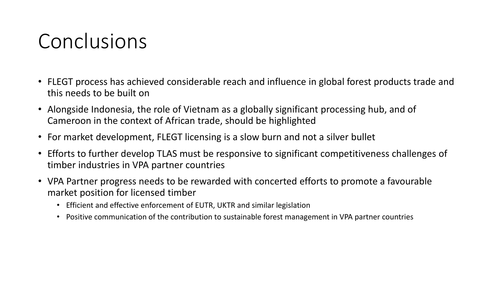## Conclusions

- FLEGT process has achieved considerable reach and influence in global forest products trade and this needs to be built on
- Alongside Indonesia, the role of Vietnam as a globally significant processing hub, and of Cameroon in the context of African trade, should be highlighted
- For market development, FLEGT licensing is a slow burn and not a silver bullet
- Efforts to further develop TLAS must be responsive to significant competitiveness challenges of timber industries in VPA partner countries
- VPA Partner progress needs to be rewarded with concerted efforts to promote a favourable market position for licensed timber
	- Efficient and effective enforcement of EUTR, UKTR and similar legislation
	- Positive communication of the contribution to sustainable forest management in VPA partner countries